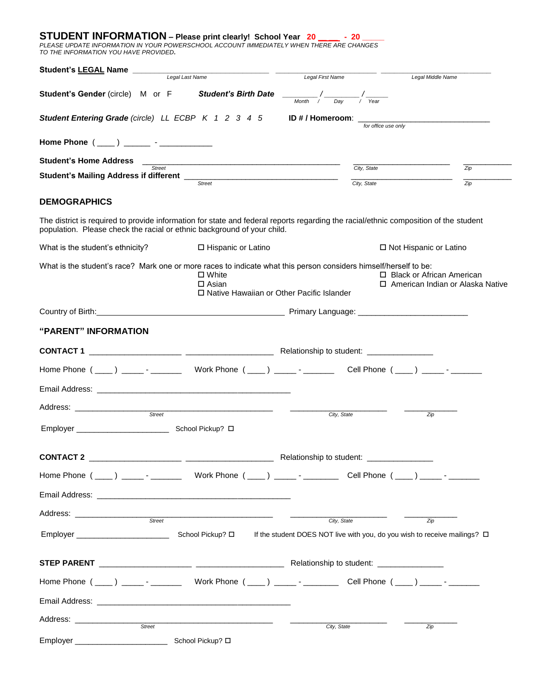# **STUDENT INFORMATION – Please print clearly! School Year 20 \_\_ \_\_ - 20 \_\_\_\_\_**

*PLEASE UPDATE INFORMATION IN YOUR POWERSCHOOL ACCOUNT IMMEDIATELY WHEN THERE ARE CHANGES TO THE INFORMATION YOU HAVE PROVIDED.*

| Student's LEGAL Name                                                                                                                                                                                                           | Legal Last Name                                                                            | Legal First Name                          | Legal Middle Name                                                 |                |
|--------------------------------------------------------------------------------------------------------------------------------------------------------------------------------------------------------------------------------|--------------------------------------------------------------------------------------------|-------------------------------------------|-------------------------------------------------------------------|----------------|
|                                                                                                                                                                                                                                |                                                                                            |                                           |                                                                   |                |
| Student's Gender (circle) M or F Student's Birth Date                                                                                                                                                                          |                                                                                            | $\frac{1}{M$ onth / Day / Year            |                                                                   |                |
| <b>Student Entering Grade</b> (circle) LL ECBP K 1 2 3 4 5                                                                                                                                                                     |                                                                                            | ID # / Homeroom: $\overline{\phantom{a}}$ | for office use only                                               |                |
| Home Phone $($ ____) _______ - ____________                                                                                                                                                                                    |                                                                                            |                                           |                                                                   |                |
| <b>Student's Home Address</b><br>Street                                                                                                                                                                                        |                                                                                            |                                           | City, State                                                       | Zip            |
|                                                                                                                                                                                                                                | <b>Street</b>                                                                              | City, State                               |                                                                   | $\mathsf{Zip}$ |
| <b>DEMOGRAPHICS</b>                                                                                                                                                                                                            |                                                                                            |                                           |                                                                   |                |
| The district is required to provide information for state and federal reports regarding the racial/ethnic composition of the student<br>population. Please check the racial or ethnic background of your child.                |                                                                                            |                                           |                                                                   |                |
| What is the student's ethnicity?                                                                                                                                                                                               | □ Hispanic or Latino                                                                       |                                           | □ Not Hispanic or Latino                                          |                |
| What is the student's race? Mark one or more races to indicate what this person considers himself/herself to be:                                                                                                               | $\Box$ White<br>$\Box$ Asian<br>□ Native Hawaiian or Other Pacific Islander                |                                           | □ Black or African American<br>□ American Indian or Alaska Native |                |
| Country of Birth: Country of Birth: Country of Birth: Country of Birth: Country of Birth: Country of Birth: Country of Birth: Country of Birth: Country of Birth: Country of Birth: Country of Birth: Country of Birth: Countr |                                                                                            |                                           |                                                                   |                |
| "PARENT" INFORMATION                                                                                                                                                                                                           |                                                                                            |                                           |                                                                   |                |
|                                                                                                                                                                                                                                |                                                                                            |                                           |                                                                   |                |
|                                                                                                                                                                                                                                |                                                                                            |                                           |                                                                   |                |
|                                                                                                                                                                                                                                |                                                                                            |                                           |                                                                   |                |
| Address: ___________________<br><b>Street</b>                                                                                                                                                                                  |                                                                                            | City, State                               | Zip                                                               |                |
| Employer School Pickup? O                                                                                                                                                                                                      |                                                                                            |                                           |                                                                   |                |
| <b>CONTACT 2</b><br><u> 1989 - Johann Stoff, fransk politik amerikansk politik (</u>                                                                                                                                           |                                                                                            | Relationship to student:                  |                                                                   |                |
|                                                                                                                                                                                                                                |                                                                                            |                                           |                                                                   |                |
| Email Address: North American State Communication of the Communication of the Communication of the Communication                                                                                                               |                                                                                            |                                           |                                                                   |                |
| Street                                                                                                                                                                                                                         |                                                                                            | City, State                               | Zip                                                               |                |
| Employer __________________________                                                                                                                                                                                            | School Pickup? □ If the student DOES NOT live with you, do you wish to receive mailings? □ |                                           |                                                                   |                |
|                                                                                                                                                                                                                                |                                                                                            |                                           |                                                                   |                |
|                                                                                                                                                                                                                                |                                                                                            |                                           |                                                                   |                |
| Email Address: <b>Example 2018</b>                                                                                                                                                                                             |                                                                                            |                                           |                                                                   |                |
| Address: ________________<br>Street                                                                                                                                                                                            |                                                                                            | City, State                               | Zip                                                               |                |
|                                                                                                                                                                                                                                |                                                                                            |                                           |                                                                   |                |